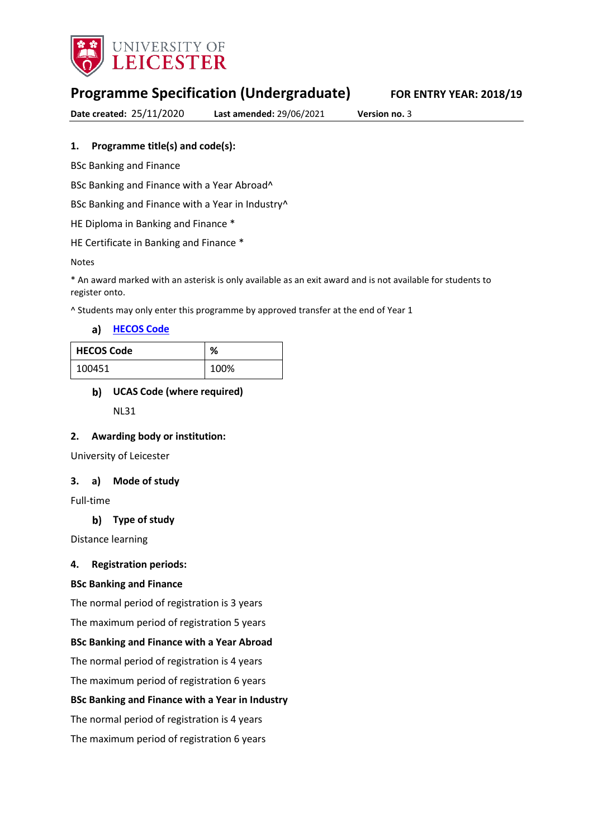

# **Programme Specification (Undergraduate) FOR ENTRY YEAR: 2018/19**

**Date created:** 25/11/2020 **Last amended:** 29/06/2021 **Version no.** 3

## **1. Programme title(s) and code(s):**

BSc Banking and Finance

BSc Banking and Finance with a Year Abroad^

BSc Banking and Finance with a Year in Industry^

HE Diploma in Banking and Finance \*

HE Certificate in Banking and Finance \*

#### Notes

\* An award marked with an asterisk is only available as an exit award and is not available for students to register onto.

^ Students may only enter this programme by approved transfer at the end of Year 1

**[HECOS Code](https://www.hesa.ac.uk/innovation/hecos)**

| <b>HECOS Code</b> | ℅    |
|-------------------|------|
| 100451            | 100% |

## **UCAS Code (where required)**

NL31

### **2. Awarding body or institution:**

University of Leicester

### **3. a) Mode of study**

Full-time

### **Type of study**

Distance learning

### **4. Registration periods:**

### **BSc Banking and Finance**

The normal period of registration is 3 years

The maximum period of registration 5 years

### **BSc Banking and Finance with a Year Abroad**

The normal period of registration is 4 years

The maximum period of registration 6 years

### **BSc Banking and Finance with a Year in Industry**

The normal period of registration is 4 years

The maximum period of registration 6 years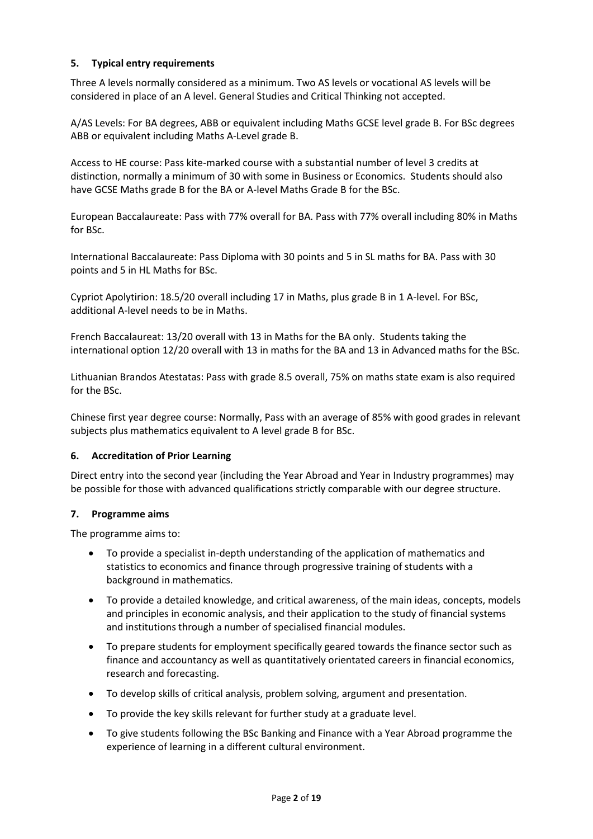## **5. Typical entry requirements**

Three A levels normally considered as a minimum. Two AS levels or vocational AS levels will be considered in place of an A level. General Studies and Critical Thinking not accepted.

A/AS Levels: For BA degrees, ABB or equivalent including Maths GCSE level grade B. For BSc degrees ABB or equivalent including Maths A-Level grade B.

Access to HE course: Pass kite-marked course with a substantial number of level 3 credits at distinction, normally a minimum of 30 with some in Business or Economics. Students should also have GCSE Maths grade B for the BA or A-level Maths Grade B for the BSc.

European Baccalaureate: Pass with 77% overall for BA. Pass with 77% overall including 80% in Maths for BSc.

International Baccalaureate: Pass Diploma with 30 points and 5 in SL maths for BA. Pass with 30 points and 5 in HL Maths for BSc.

Cypriot Apolytirion: 18.5/20 overall including 17 in Maths, plus grade B in 1 A-level. For BSc, additional A-level needs to be in Maths.

French Baccalaureat: 13/20 overall with 13 in Maths for the BA only. Students taking the international option 12/20 overall with 13 in maths for the BA and 13 in Advanced maths for the BSc.

Lithuanian Brandos Atestatas: Pass with grade 8.5 overall, 75% on maths state exam is also required for the BSc.

Chinese first year degree course: Normally, Pass with an average of 85% with good grades in relevant subjects plus mathematics equivalent to A level grade B for BSc.

### **6. Accreditation of Prior Learning**

Direct entry into the second year (including the Year Abroad and Year in Industry programmes) may be possible for those with advanced qualifications strictly comparable with our degree structure.

### **7. Programme aims**

The programme aims to:

- To provide a specialist in-depth understanding of the application of mathematics and statistics to economics and finance through progressive training of students with a background in mathematics.
- To provide a detailed knowledge, and critical awareness, of the main ideas, concepts, models and principles in economic analysis, and their application to the study of financial systems and institutions through a number of specialised financial modules.
- To prepare students for employment specifically geared towards the finance sector such as finance and accountancy as well as quantitatively orientated careers in financial economics, research and forecasting.
- To develop skills of critical analysis, problem solving, argument and presentation.
- To provide the key skills relevant for further study at a graduate level.
- To give students following the BSc Banking and Finance with a Year Abroad programme the experience of learning in a different cultural environment.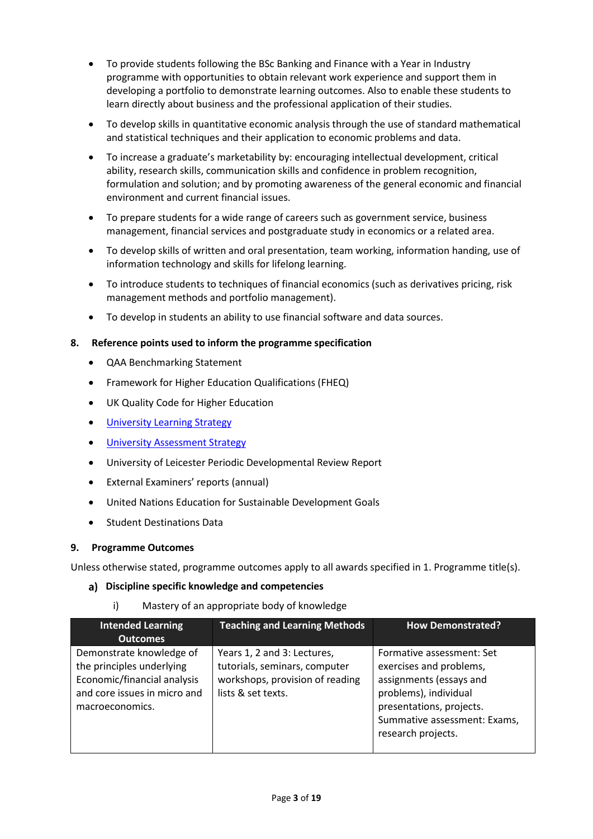- To provide students following the BSc Banking and Finance with a Year in Industry programme with opportunities to obtain relevant work experience and support them in developing a portfolio to demonstrate learning outcomes. Also to enable these students to learn directly about business and the professional application of their studies.
- To develop skills in quantitative economic analysis through the use of standard mathematical and statistical techniques and their application to economic problems and data.
- To increase a graduate's marketability by: encouraging intellectual development, critical ability, research skills, communication skills and confidence in problem recognition, formulation and solution; and by promoting awareness of the general economic and financial environment and current financial issues.
- To prepare students for a wide range of careers such as government service, business management, financial services and postgraduate study in economics or a related area.
- To develop skills of written and oral presentation, team working, information handing, use of information technology and skills for lifelong learning.
- To introduce students to techniques of financial economics (such as derivatives pricing, risk management methods and portfolio management).
- To develop in students an ability to use financial software and data sources.

### **8. Reference points used to inform the programme specification**

- QAA Benchmarking Statement
- Framework for Higher Education Qualifications (FHEQ)
- UK Quality Code for Higher Education
- University Learnin[g Strategy](https://www2.le.ac.uk/offices/sas2/quality/learnteach)
- **[University Assessment Strategy](https://www2.le.ac.uk/offices/sas2/quality/learnteach)**
- University of Leicester Periodic Developmental Review Report
- External Examiners' reports (annual)
- United Nations Education for Sustainable Development Goals
- **•** Student Destinations Data

### **9. Programme Outcomes**

Unless otherwise stated, programme outcomes apply to all awards specified in 1. Programme title(s).

### **Discipline specific knowledge and competencies**

i) Mastery of an appropriate body of knowledge

| <b>Intended Learning</b><br><b>Outcomes</b>                                                                                             | <b>Teaching and Learning Methods</b>                                                                                  | <b>How Demonstrated?</b>                                                                                                                                                                   |
|-----------------------------------------------------------------------------------------------------------------------------------------|-----------------------------------------------------------------------------------------------------------------------|--------------------------------------------------------------------------------------------------------------------------------------------------------------------------------------------|
| Demonstrate knowledge of<br>the principles underlying<br>Economic/financial analysis<br>and core issues in micro and<br>macroeconomics. | Years 1, 2 and 3: Lectures,<br>tutorials, seminars, computer<br>workshops, provision of reading<br>lists & set texts. | Formative assessment: Set<br>exercises and problems,<br>assignments (essays and<br>problems), individual<br>presentations, projects.<br>Summative assessment: Exams,<br>research projects. |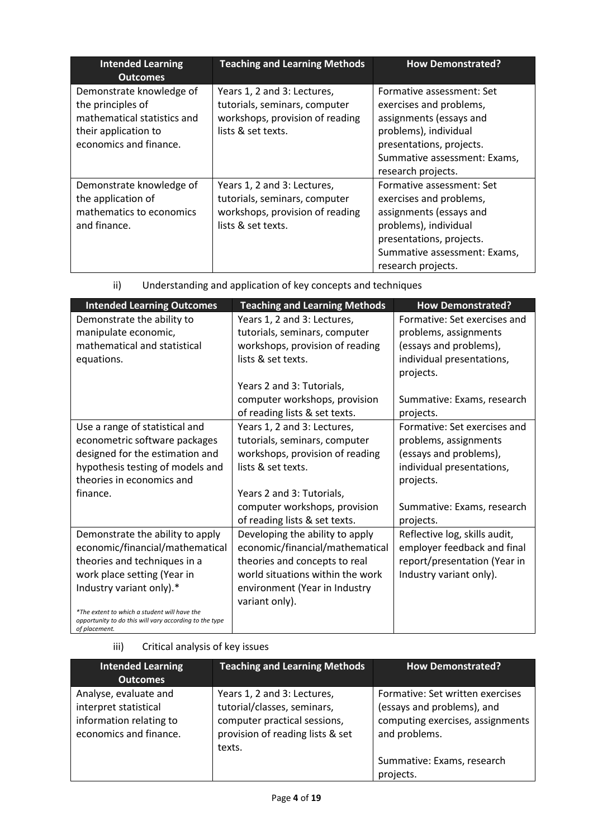| <b>Intended Learning</b><br><b>Outcomes</b>                                                                                    | <b>Teaching and Learning Methods</b>                                                                                  | <b>How Demonstrated?</b>                                                                                                                                                                   |
|--------------------------------------------------------------------------------------------------------------------------------|-----------------------------------------------------------------------------------------------------------------------|--------------------------------------------------------------------------------------------------------------------------------------------------------------------------------------------|
| Demonstrate knowledge of<br>the principles of<br>mathematical statistics and<br>their application to<br>economics and finance. | Years 1, 2 and 3: Lectures,<br>tutorials, seminars, computer<br>workshops, provision of reading<br>lists & set texts. | Formative assessment: Set<br>exercises and problems,<br>assignments (essays and<br>problems), individual<br>presentations, projects.<br>Summative assessment: Exams,<br>research projects. |
| Demonstrate knowledge of<br>the application of<br>mathematics to economics<br>and finance.                                     | Years 1, 2 and 3: Lectures,<br>tutorials, seminars, computer<br>workshops, provision of reading<br>lists & set texts. | Formative assessment: Set<br>exercises and problems,<br>assignments (essays and<br>problems), individual<br>presentations, projects.<br>Summative assessment: Exams,<br>research projects. |

| ii) |  | Understanding and application of key concepts and techniques |  |
|-----|--|--------------------------------------------------------------|--|
|     |  |                                                              |  |

| <b>Intended Learning Outcomes</b>                                                                                       | <b>Teaching and Learning Methods</b> | <b>How Demonstrated?</b>      |
|-------------------------------------------------------------------------------------------------------------------------|--------------------------------------|-------------------------------|
| Demonstrate the ability to                                                                                              | Years 1, 2 and 3: Lectures,          | Formative: Set exercises and  |
| manipulate economic,                                                                                                    | tutorials, seminars, computer        | problems, assignments         |
| mathematical and statistical                                                                                            | workshops, provision of reading      | (essays and problems),        |
| equations.                                                                                                              | lists & set texts.                   | individual presentations,     |
|                                                                                                                         |                                      | projects.                     |
|                                                                                                                         | Years 2 and 3: Tutorials,            |                               |
|                                                                                                                         | computer workshops, provision        | Summative: Exams, research    |
|                                                                                                                         | of reading lists & set texts.        | projects.                     |
| Use a range of statistical and                                                                                          | Years 1, 2 and 3: Lectures,          | Formative: Set exercises and  |
| econometric software packages                                                                                           | tutorials, seminars, computer        | problems, assignments         |
| designed for the estimation and                                                                                         | workshops, provision of reading      | (essays and problems),        |
| hypothesis testing of models and                                                                                        | lists & set texts.                   | individual presentations,     |
| theories in economics and                                                                                               |                                      | projects.                     |
| finance.                                                                                                                | Years 2 and 3: Tutorials,            |                               |
|                                                                                                                         | computer workshops, provision        | Summative: Exams, research    |
|                                                                                                                         | of reading lists & set texts.        | projects.                     |
| Demonstrate the ability to apply                                                                                        | Developing the ability to apply      | Reflective log, skills audit, |
| economic/financial/mathematical                                                                                         | economic/financial/mathematical      | employer feedback and final   |
| theories and techniques in a                                                                                            | theories and concepts to real        | report/presentation (Year in  |
| work place setting (Year in                                                                                             | world situations within the work     | Industry variant only).       |
| Industry variant only).*                                                                                                | environment (Year in Industry        |                               |
|                                                                                                                         | variant only).                       |                               |
| *The extent to which a student will have the<br>opportunity to do this will vary according to the type<br>of placement. |                                      |                               |

iii) Critical analysis of key issues

| <b>Intended Learning</b><br><b>Outcomes</b>                                                         | <b>Teaching and Learning Methods</b>                                                                                                     | <b>How Demonstrated?</b>                                                                                            |
|-----------------------------------------------------------------------------------------------------|------------------------------------------------------------------------------------------------------------------------------------------|---------------------------------------------------------------------------------------------------------------------|
| Analyse, evaluate and<br>interpret statistical<br>information relating to<br>economics and finance. | Years 1, 2 and 3: Lectures,<br>tutorial/classes, seminars,<br>computer practical sessions,<br>provision of reading lists & set<br>texts. | Formative: Set written exercises<br>(essays and problems), and<br>computing exercises, assignments<br>and problems. |
|                                                                                                     |                                                                                                                                          | Summative: Exams, research<br>projects.                                                                             |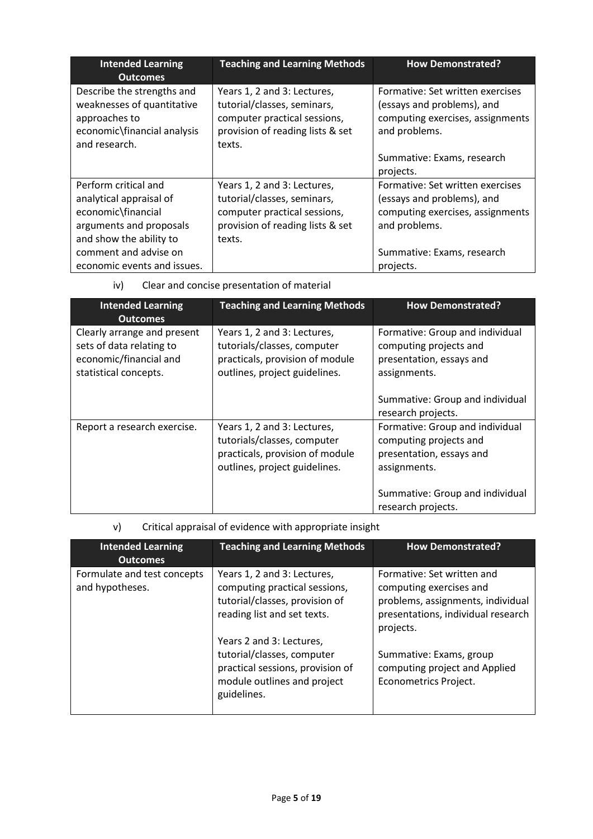| <b>Intended Learning</b><br><b>Outcomes</b>                                                                                 | <b>Teaching and Learning Methods</b>                                                                                                     | <b>How Demonstrated?</b>                                                                                            |
|-----------------------------------------------------------------------------------------------------------------------------|------------------------------------------------------------------------------------------------------------------------------------------|---------------------------------------------------------------------------------------------------------------------|
| Describe the strengths and<br>weaknesses of quantitative<br>approaches to<br>economic\financial analysis<br>and research.   | Years 1, 2 and 3: Lectures,<br>tutorial/classes, seminars,<br>computer practical sessions,<br>provision of reading lists & set<br>texts. | Formative: Set written exercises<br>(essays and problems), and<br>computing exercises, assignments<br>and problems. |
|                                                                                                                             |                                                                                                                                          | Summative: Exams, research<br>projects.                                                                             |
| Perform critical and<br>analytical appraisal of<br>economic\financial<br>arguments and proposals<br>and show the ability to | Years 1, 2 and 3: Lectures,<br>tutorial/classes, seminars,<br>computer practical sessions,<br>provision of reading lists & set<br>texts. | Formative: Set written exercises<br>(essays and problems), and<br>computing exercises, assignments<br>and problems. |
| comment and advise on<br>economic events and issues.                                                                        |                                                                                                                                          | Summative: Exams, research<br>projects.                                                                             |

## iv) Clear and concise presentation of material

| <b>Intended Learning</b><br><b>Outcomes</b>                                                                | <b>Teaching and Learning Methods</b>                                                                                           | <b>How Demonstrated?</b>                                                                                                                 |
|------------------------------------------------------------------------------------------------------------|--------------------------------------------------------------------------------------------------------------------------------|------------------------------------------------------------------------------------------------------------------------------------------|
| Clearly arrange and present<br>sets of data relating to<br>economic/financial and<br>statistical concepts. | Years 1, 2 and 3: Lectures,<br>tutorials/classes, computer<br>practicals, provision of module<br>outlines, project guidelines. | Formative: Group and individual<br>computing projects and<br>presentation, essays and<br>assignments.<br>Summative: Group and individual |
|                                                                                                            |                                                                                                                                | research projects.                                                                                                                       |
| Report a research exercise.                                                                                | Years 1, 2 and 3: Lectures,<br>tutorials/classes, computer<br>practicals, provision of module<br>outlines, project guidelines. | Formative: Group and individual<br>computing projects and<br>presentation, essays and<br>assignments.                                    |
|                                                                                                            |                                                                                                                                | Summative: Group and individual<br>research projects.                                                                                    |

## v) Critical appraisal of evidence with appropriate insight

| <b>Intended Learning</b><br><b>Outcomes</b>    | <b>Teaching and Learning Methods</b>                                                                                                     | <b>How Demonstrated?</b>                                                                                                                      |
|------------------------------------------------|------------------------------------------------------------------------------------------------------------------------------------------|-----------------------------------------------------------------------------------------------------------------------------------------------|
| Formulate and test concepts<br>and hypotheses. | Years 1, 2 and 3: Lectures,<br>computing practical sessions,<br>tutorial/classes, provision of<br>reading list and set texts.            | Formative: Set written and<br>computing exercises and<br>problems, assignments, individual<br>presentations, individual research<br>projects. |
|                                                | Years 2 and 3: Lectures,<br>tutorial/classes, computer<br>practical sessions, provision of<br>module outlines and project<br>guidelines. | Summative: Exams, group<br>computing project and Applied<br>Econometrics Project.                                                             |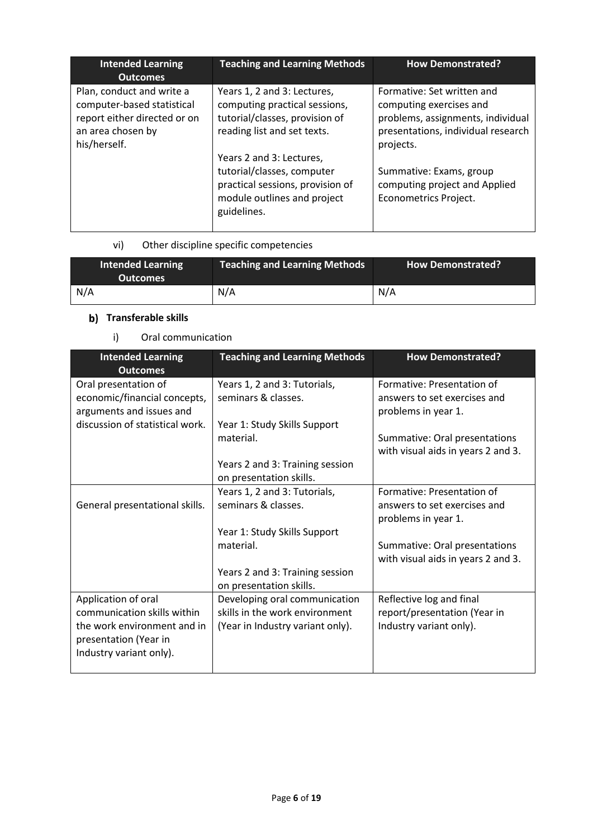| <b>Intended Learning</b><br><b>Outcomes</b>                                                                                  | <b>Teaching and Learning Methods</b>                                                                                                                                                                                                                                      | <b>How Demonstrated?</b>                                                                                                                                                                                                           |
|------------------------------------------------------------------------------------------------------------------------------|---------------------------------------------------------------------------------------------------------------------------------------------------------------------------------------------------------------------------------------------------------------------------|------------------------------------------------------------------------------------------------------------------------------------------------------------------------------------------------------------------------------------|
| Plan, conduct and write a<br>computer-based statistical<br>report either directed or on<br>an area chosen by<br>his/herself. | Years 1, 2 and 3: Lectures,<br>computing practical sessions,<br>tutorial/classes, provision of<br>reading list and set texts.<br>Years 2 and 3: Lectures,<br>tutorial/classes, computer<br>practical sessions, provision of<br>module outlines and project<br>guidelines. | Formative: Set written and<br>computing exercises and<br>problems, assignments, individual<br>presentations, individual research<br>projects.<br>Summative: Exams, group<br>computing project and Applied<br>Econometrics Project. |

## vi) Other discipline specific competencies

| <b>Intended Learning</b><br><b>Outcomes</b> | <b>Teaching and Learning Methods</b> | <b>How Demonstrated?</b> |
|---------------------------------------------|--------------------------------------|--------------------------|
| N/A                                         | N/A                                  | N/A                      |

## **b)** Transferable skills

## i) Oral communication

| <b>Intended Learning</b>        | <b>Teaching and Learning Methods</b> | <b>How Demonstrated?</b>           |
|---------------------------------|--------------------------------------|------------------------------------|
| <b>Outcomes</b>                 |                                      |                                    |
| Oral presentation of            | Years 1, 2 and 3: Tutorials,         | Formative: Presentation of         |
| economic/financial concepts,    | seminars & classes.                  | answers to set exercises and       |
| arguments and issues and        |                                      | problems in year 1.                |
| discussion of statistical work. | Year 1: Study Skills Support         |                                    |
|                                 | material.                            | Summative: Oral presentations      |
|                                 |                                      | with visual aids in years 2 and 3. |
|                                 | Years 2 and 3: Training session      |                                    |
|                                 | on presentation skills.              |                                    |
|                                 | Years 1, 2 and 3: Tutorials,         | Formative: Presentation of         |
| General presentational skills.  | seminars & classes.                  | answers to set exercises and       |
|                                 |                                      | problems in year 1.                |
|                                 | Year 1: Study Skills Support         |                                    |
|                                 | material.                            | Summative: Oral presentations      |
|                                 |                                      | with visual aids in years 2 and 3. |
|                                 | Years 2 and 3: Training session      |                                    |
|                                 | on presentation skills.              |                                    |
| Application of oral             | Developing oral communication        | Reflective log and final           |
| communication skills within     | skills in the work environment       | report/presentation (Year in       |
| the work environment and in     | (Year in Industry variant only).     | Industry variant only).            |
| presentation (Year in           |                                      |                                    |
| Industry variant only).         |                                      |                                    |
|                                 |                                      |                                    |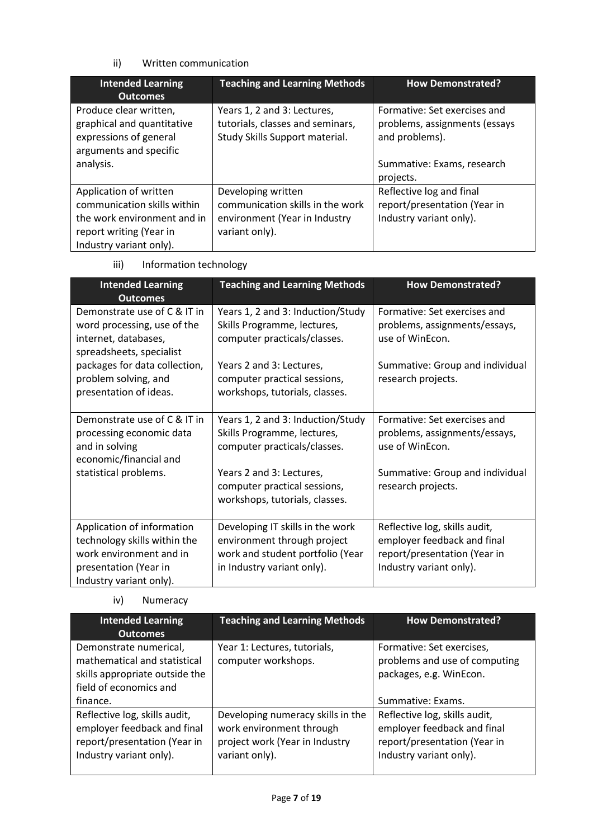## ii) Written communication

| <b>Intended Learning</b><br><b>Outcomes</b>                                                                                                | <b>Teaching and Learning Methods</b>                                                                      | <b>How Demonstrated?</b>                                                                                      |
|--------------------------------------------------------------------------------------------------------------------------------------------|-----------------------------------------------------------------------------------------------------------|---------------------------------------------------------------------------------------------------------------|
| Produce clear written,<br>graphical and quantitative<br>expressions of general<br>arguments and specific<br>analysis.                      | Years 1, 2 and 3: Lectures,<br>tutorials, classes and seminars,<br>Study Skills Support material.         | Formative: Set exercises and<br>problems, assignments (essays<br>and problems).<br>Summative: Exams, research |
|                                                                                                                                            |                                                                                                           | projects.                                                                                                     |
| Application of written<br>communication skills within<br>the work environment and in<br>report writing (Year in<br>Industry variant only). | Developing written<br>communication skills in the work<br>environment (Year in Industry<br>variant only). | Reflective log and final<br>report/presentation (Year in<br>Industry variant only).                           |

iii) Information technology

| <b>Intended Learning</b><br><b>Outcomes</b>                                                                     | <b>Teaching and Learning Methods</b>                                                             | <b>How Demonstrated?</b>                                                         |
|-----------------------------------------------------------------------------------------------------------------|--------------------------------------------------------------------------------------------------|----------------------------------------------------------------------------------|
| Demonstrate use of C & IT in<br>word processing, use of the<br>internet, databases,<br>spreadsheets, specialist | Years 1, 2 and 3: Induction/Study<br>Skills Programme, lectures,<br>computer practicals/classes. | Formative: Set exercises and<br>problems, assignments/essays,<br>use of WinEcon. |
| packages for data collection,<br>problem solving, and<br>presentation of ideas.                                 | Years 2 and 3: Lectures,<br>computer practical sessions,<br>workshops, tutorials, classes.       | Summative: Group and individual<br>research projects.                            |
| Demonstrate use of C & IT in<br>processing economic data<br>and in solving<br>economic/financial and            | Years 1, 2 and 3: Induction/Study<br>Skills Programme, lectures,<br>computer practicals/classes. | Formative: Set exercises and<br>problems, assignments/essays,<br>use of WinEcon. |
| statistical problems.                                                                                           | Years 2 and 3: Lectures,<br>computer practical sessions,<br>workshops, tutorials, classes.       | Summative: Group and individual<br>research projects.                            |
| Application of information                                                                                      | Developing IT skills in the work                                                                 | Reflective log, skills audit,                                                    |
| technology skills within the<br>work environment and in                                                         | environment through project<br>work and student portfolio (Year                                  | employer feedback and final<br>report/presentation (Year in                      |
| presentation (Year in<br>Industry variant only).                                                                | in Industry variant only).                                                                       | Industry variant only).                                                          |

iv) Numeracy

| <b>Intended Learning</b><br><b>Outcomes</b>                                                                             | <b>Teaching and Learning Methods</b>                                                                              | <b>How Demonstrated?</b>                                                                                                |
|-------------------------------------------------------------------------------------------------------------------------|-------------------------------------------------------------------------------------------------------------------|-------------------------------------------------------------------------------------------------------------------------|
| Demonstrate numerical,<br>mathematical and statistical<br>skills appropriate outside the<br>field of economics and      | Year 1: Lectures, tutorials,<br>computer workshops.                                                               | Formative: Set exercises,<br>problems and use of computing<br>packages, e.g. WinEcon.                                   |
| finance.                                                                                                                |                                                                                                                   | Summative: Exams.                                                                                                       |
| Reflective log, skills audit,<br>employer feedback and final<br>report/presentation (Year in<br>Industry variant only). | Developing numeracy skills in the<br>work environment through<br>project work (Year in Industry<br>variant only). | Reflective log, skills audit,<br>employer feedback and final<br>report/presentation (Year in<br>Industry variant only). |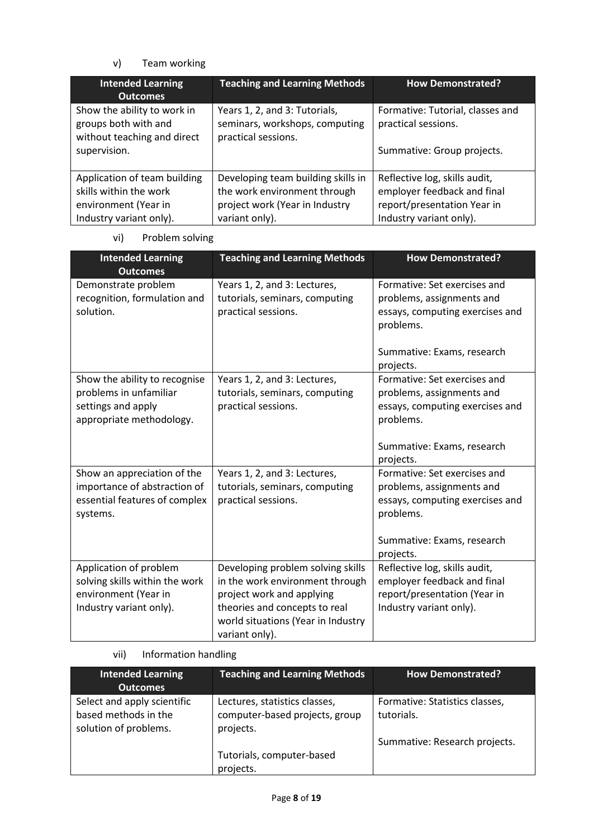## v) Team working

| <b>Intended Learning</b><br><b>Outcomes</b>                                                               | <b>Teaching and Learning Methods</b>                                                                                   | <b>How Demonstrated?</b>                                                                                               |
|-----------------------------------------------------------------------------------------------------------|------------------------------------------------------------------------------------------------------------------------|------------------------------------------------------------------------------------------------------------------------|
| Show the ability to work in<br>groups both with and<br>without teaching and direct<br>supervision.        | Years 1, 2, and 3: Tutorials,<br>seminars, workshops, computing<br>practical sessions.                                 | Formative: Tutorial, classes and<br>practical sessions.<br>Summative: Group projects.                                  |
| Application of team building<br>skills within the work<br>environment (Year in<br>Industry variant only). | Developing team building skills in<br>the work environment through<br>project work (Year in Industry<br>variant only). | Reflective log, skills audit,<br>employer feedback and final<br>report/presentation Year in<br>Industry variant only). |

vi) Problem solving

| <b>Intended Learning</b><br><b>Outcomes</b>                                                                 | <b>Teaching and Learning Methods</b>                                                                                                                                                       | <b>How Demonstrated?</b>                                                                                                                                          |
|-------------------------------------------------------------------------------------------------------------|--------------------------------------------------------------------------------------------------------------------------------------------------------------------------------------------|-------------------------------------------------------------------------------------------------------------------------------------------------------------------|
| Demonstrate problem<br>recognition, formulation and<br>solution.                                            | Years 1, 2, and 3: Lectures,<br>tutorials, seminars, computing<br>practical sessions.                                                                                                      | Formative: Set exercises and<br>problems, assignments and<br>essays, computing exercises and<br>problems.<br>Summative: Exams, research                           |
| Show the ability to recognise<br>problems in unfamiliar<br>settings and apply<br>appropriate methodology.   | Years 1, 2, and 3: Lectures,<br>tutorials, seminars, computing<br>practical sessions.                                                                                                      | projects.<br>Formative: Set exercises and<br>problems, assignments and<br>essays, computing exercises and<br>problems.<br>Summative: Exams, research<br>projects. |
| Show an appreciation of the<br>importance of abstraction of<br>essential features of complex<br>systems.    | Years 1, 2, and 3: Lectures,<br>tutorials, seminars, computing<br>practical sessions.                                                                                                      | Formative: Set exercises and<br>problems, assignments and<br>essays, computing exercises and<br>problems.<br>Summative: Exams, research<br>projects.              |
| Application of problem<br>solving skills within the work<br>environment (Year in<br>Industry variant only). | Developing problem solving skills<br>in the work environment through<br>project work and applying<br>theories and concepts to real<br>world situations (Year in Industry<br>variant only). | Reflective log, skills audit,<br>employer feedback and final<br>report/presentation (Year in<br>Industry variant only).                                           |

vii) Information handling

| <b>Intended Learning</b><br><b>Outcomes</b>                                  | <b>Teaching and Learning Methods</b>                                         | <b>How Demonstrated?</b>                     |
|------------------------------------------------------------------------------|------------------------------------------------------------------------------|----------------------------------------------|
| Select and apply scientific<br>based methods in the<br>solution of problems. | Lectures, statistics classes,<br>computer-based projects, group<br>projects. | Formative: Statistics classes,<br>tutorials. |
|                                                                              | Tutorials, computer-based<br>projects.                                       | Summative: Research projects.                |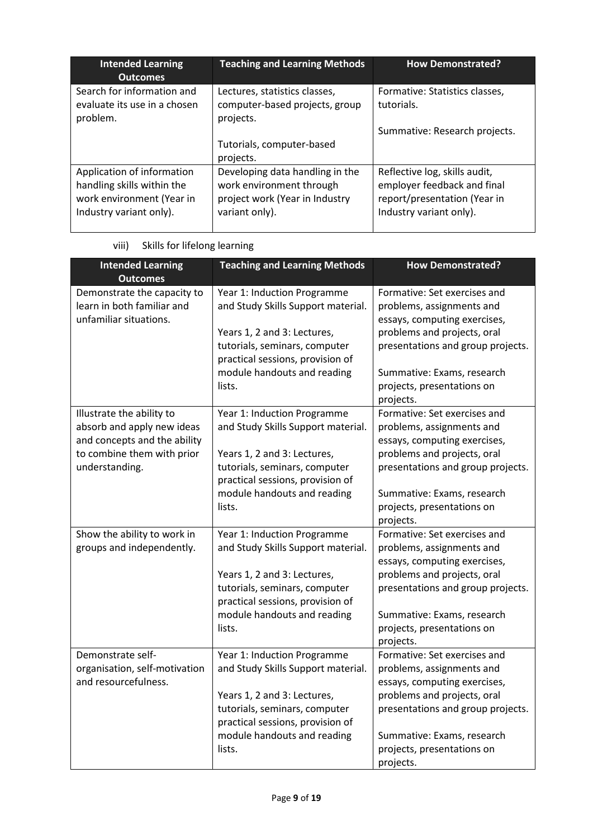| <b>Intended Learning</b><br><b>Outcomes</b>                                                                      | <b>Teaching and Learning Methods</b>                                                                            | <b>How Demonstrated?</b>                                                                                                |
|------------------------------------------------------------------------------------------------------------------|-----------------------------------------------------------------------------------------------------------------|-------------------------------------------------------------------------------------------------------------------------|
| Search for information and<br>evaluate its use in a chosen<br>problem.                                           | Lectures, statistics classes,<br>computer-based projects, group<br>projects.                                    | Formative: Statistics classes,<br>tutorials.                                                                            |
|                                                                                                                  |                                                                                                                 | Summative: Research projects.                                                                                           |
|                                                                                                                  | Tutorials, computer-based                                                                                       |                                                                                                                         |
|                                                                                                                  | projects.                                                                                                       |                                                                                                                         |
| Application of information<br>handling skills within the<br>work environment (Year in<br>Industry variant only). | Developing data handling in the<br>work environment through<br>project work (Year in Industry<br>variant only). | Reflective log, skills audit,<br>employer feedback and final<br>report/presentation (Year in<br>Industry variant only). |

| <b>Intended Learning</b>                                                                                                                | <b>Teaching and Learning Methods</b>                                                                                                                                                                           | <b>How Demonstrated?</b>                                                                                                                                                                                                               |
|-----------------------------------------------------------------------------------------------------------------------------------------|----------------------------------------------------------------------------------------------------------------------------------------------------------------------------------------------------------------|----------------------------------------------------------------------------------------------------------------------------------------------------------------------------------------------------------------------------------------|
| <b>Outcomes</b>                                                                                                                         |                                                                                                                                                                                                                |                                                                                                                                                                                                                                        |
| Demonstrate the capacity to<br>learn in both familiar and<br>unfamiliar situations.                                                     | Year 1: Induction Programme<br>and Study Skills Support material.<br>Years 1, 2 and 3: Lectures,<br>tutorials, seminars, computer<br>practical sessions, provision of<br>module handouts and reading<br>lists. | Formative: Set exercises and<br>problems, assignments and<br>essays, computing exercises,<br>problems and projects, oral<br>presentations and group projects.<br>Summative: Exams, research<br>projects, presentations on<br>projects. |
| Illustrate the ability to<br>absorb and apply new ideas<br>and concepts and the ability<br>to combine them with prior<br>understanding. | Year 1: Induction Programme<br>and Study Skills Support material.<br>Years 1, 2 and 3: Lectures,<br>tutorials, seminars, computer<br>practical sessions, provision of<br>module handouts and reading<br>lists. | Formative: Set exercises and<br>problems, assignments and<br>essays, computing exercises,<br>problems and projects, oral<br>presentations and group projects.<br>Summative: Exams, research<br>projects, presentations on<br>projects. |
| Show the ability to work in<br>groups and independently.                                                                                | Year 1: Induction Programme<br>and Study Skills Support material.<br>Years 1, 2 and 3: Lectures,<br>tutorials, seminars, computer<br>practical sessions, provision of<br>module handouts and reading<br>lists. | Formative: Set exercises and<br>problems, assignments and<br>essays, computing exercises,<br>problems and projects, oral<br>presentations and group projects.<br>Summative: Exams, research<br>projects, presentations on<br>projects. |
| Demonstrate self-<br>organisation, self-motivation<br>and resourcefulness.                                                              | Year 1: Induction Programme<br>and Study Skills Support material.<br>Years 1, 2 and 3: Lectures,<br>tutorials, seminars, computer<br>practical sessions, provision of<br>module handouts and reading<br>lists. | Formative: Set exercises and<br>problems, assignments and<br>essays, computing exercises,<br>problems and projects, oral<br>presentations and group projects.<br>Summative: Exams, research<br>projects, presentations on<br>projects. |

## viii) Skills for lifelong learning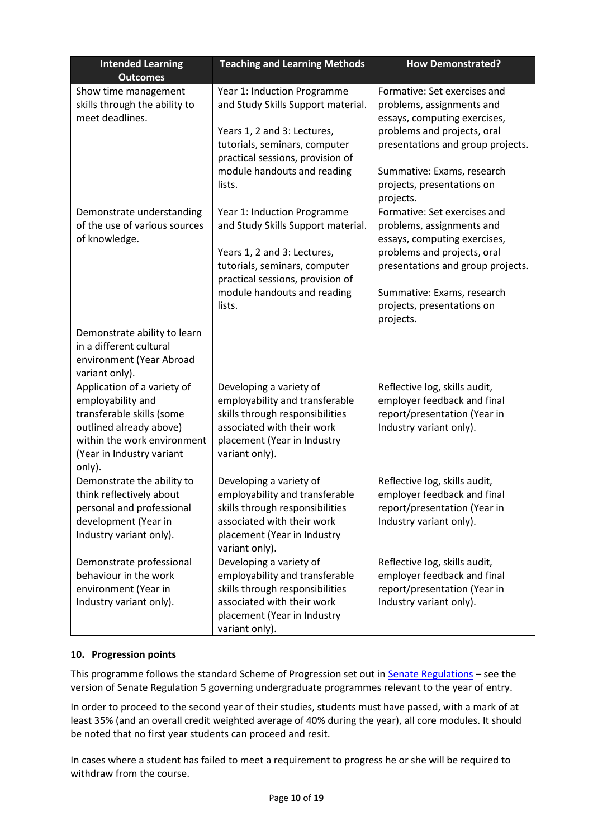| <b>Intended Learning</b><br><b>Outcomes</b>                                                                                                                                    | <b>Teaching and Learning Methods</b>                                                                                                                                                                           | <b>How Demonstrated?</b>                                                                                                                                                                                                               |
|--------------------------------------------------------------------------------------------------------------------------------------------------------------------------------|----------------------------------------------------------------------------------------------------------------------------------------------------------------------------------------------------------------|----------------------------------------------------------------------------------------------------------------------------------------------------------------------------------------------------------------------------------------|
| Show time management<br>skills through the ability to<br>meet deadlines.                                                                                                       | Year 1: Induction Programme<br>and Study Skills Support material.<br>Years 1, 2 and 3: Lectures,<br>tutorials, seminars, computer<br>practical sessions, provision of<br>module handouts and reading<br>lists. | Formative: Set exercises and<br>problems, assignments and<br>essays, computing exercises,<br>problems and projects, oral<br>presentations and group projects.<br>Summative: Exams, research<br>projects, presentations on<br>projects. |
| Demonstrate understanding<br>of the use of various sources<br>of knowledge.                                                                                                    | Year 1: Induction Programme<br>and Study Skills Support material.<br>Years 1, 2 and 3: Lectures,<br>tutorials, seminars, computer<br>practical sessions, provision of<br>module handouts and reading<br>lists. | Formative: Set exercises and<br>problems, assignments and<br>essays, computing exercises,<br>problems and projects, oral<br>presentations and group projects.<br>Summative: Exams, research<br>projects, presentations on<br>projects. |
| Demonstrate ability to learn<br>in a different cultural<br>environment (Year Abroad<br>variant only).                                                                          |                                                                                                                                                                                                                |                                                                                                                                                                                                                                        |
| Application of a variety of<br>employability and<br>transferable skills (some<br>outlined already above)<br>within the work environment<br>(Year in Industry variant<br>only). | Developing a variety of<br>employability and transferable<br>skills through responsibilities<br>associated with their work<br>placement (Year in Industry<br>variant only).                                    | Reflective log, skills audit,<br>employer feedback and final<br>report/presentation (Year in<br>Industry variant only).                                                                                                                |
| Demonstrate the ability to<br>think reflectively about<br>personal and professional<br>development (Year in<br>Industry variant only).                                         | Developing a variety of<br>employability and transferable<br>skills through responsibilities<br>associated with their work<br>placement (Year in Industry<br>variant only).                                    | Reflective log, skills audit,<br>employer feedback and final<br>report/presentation (Year in<br>Industry variant only).                                                                                                                |
| Demonstrate professional<br>behaviour in the work<br>environment (Year in<br>Industry variant only).                                                                           | Developing a variety of<br>employability and transferable<br>skills through responsibilities<br>associated with their work<br>placement (Year in Industry<br>variant only).                                    | Reflective log, skills audit,<br>employer feedback and final<br>report/presentation (Year in<br>Industry variant only).                                                                                                                |

## **10. Progression points**

This programme follows the standard Scheme of Progression set out in **Senate Regulations** - see the version of Senate Regulation 5 governing undergraduate programmes relevant to the year of entry.

In order to proceed to the second year of their studies, students must have passed, with a mark of at least 35% (and an overall credit weighted average of 40% during the year), all core modules. It should be noted that no first year students can proceed and resit.

In cases where a student has failed to meet a requirement to progress he or she will be required to withdraw from the course.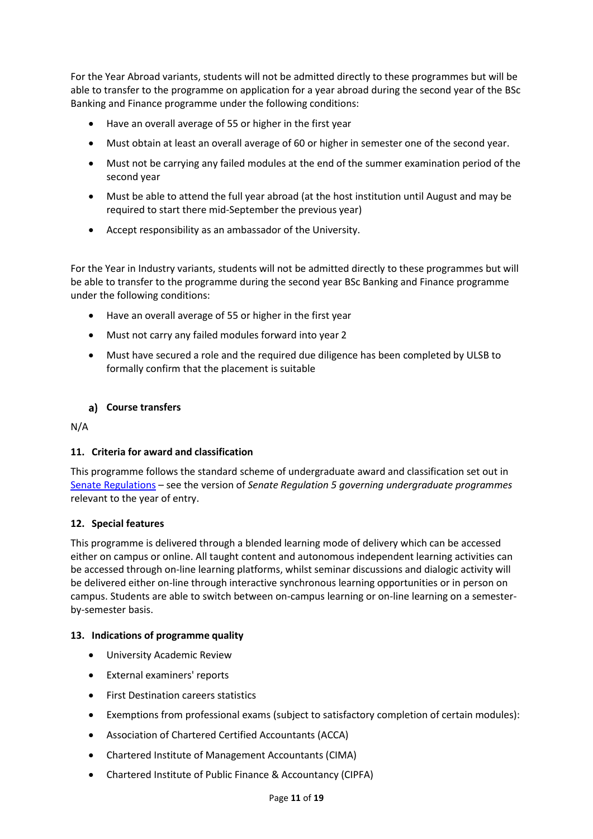For the Year Abroad variants, students will not be admitted directly to these programmes but will be able to transfer to the programme on application for a year abroad during the second year of the BSc Banking and Finance programme under the following conditions:

- Have an overall average of 55 or higher in the first year
- Must obtain at least an overall average of 60 or higher in semester one of the second year.
- Must not be carrying any failed modules at the end of the summer examination period of the second year
- Must be able to attend the full year abroad (at the host institution until August and may be required to start there mid-September the previous year)
- Accept responsibility as an ambassador of the University.

For the Year in Industry variants, students will not be admitted directly to these programmes but will be able to transfer to the programme during the second year BSc Banking and Finance programme under the following conditions:

- Have an overall average of 55 or higher in the first year
- Must not carry any failed modules forward into year 2
- Must have secured a role and the required due diligence has been completed by ULSB to formally confirm that the placement is suitable

## **Course transfers**

N/A

## **11. Criteria for award and classification**

This programme follows the standard scheme of undergraduate award and classification set out in [Senate Regulations](http://www.le.ac.uk/senate-regulations) – see the version of *Senate Regulation 5 governing undergraduate programmes* relevant to the year of entry.

## **12. Special features**

This programme is delivered through a blended learning mode of delivery which can be accessed either on campus or online. All taught content and autonomous independent learning activities can be accessed through on-line learning platforms, whilst seminar discussions and dialogic activity will be delivered either on-line through interactive synchronous learning opportunities or in person on campus. Students are able to switch between on-campus learning or on-line learning on a semesterby-semester basis.

### **13. Indications of programme quality**

- University Academic Review
- External examiners' reports
- First Destination careers statistics
- Exemptions from professional exams (subject to satisfactory completion of certain modules):
- Association of Chartered Certified Accountants (ACCA)
- Chartered Institute of Management Accountants (CIMA)
- Chartered Institute of Public Finance & Accountancy (CIPFA)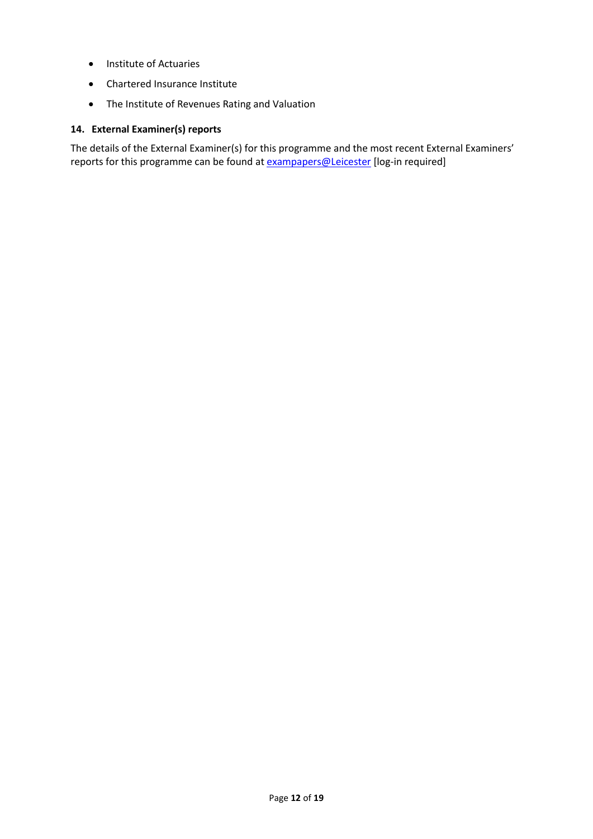- Institute of Actuaries
- Chartered Insurance Institute
- The Institute of Revenues Rating and Valuation

## **14. External Examiner(s) reports**

The details of the External Examiner(s) for this programme and the most recent External Examiners' reports for this programme can be found at **[exampapers@Leicester](https://exampapers.le.ac.uk/)** [log-in required]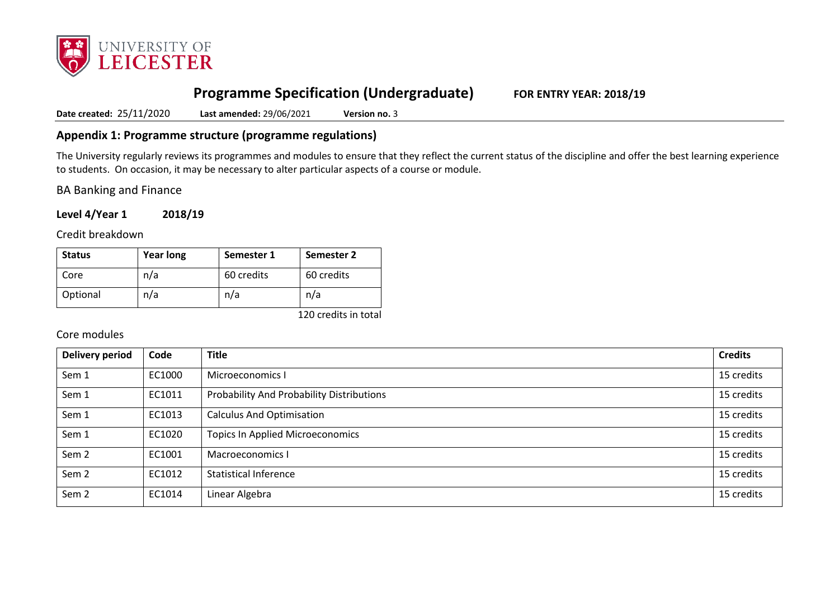

# **Programme Specification (Undergraduate) FOR ENTRY YEAR: 2018/19**

**Date created:** 25/11/2020 **Last amended:** 29/06/2021 **Version no.** 3

## **Appendix 1: Programme structure (programme regulations)**

The University regularly reviews its programmes and modules to ensure that they reflect the current status of the discipline and offer the best learning experience to students. On occasion, it may be necessary to alter particular aspects of a course or module.

BA Banking and Finance

**Level 4/Year 1 2018/19**

Credit breakdown

| <b>Status</b> | <b>Year long</b> | Semester 1 | Semester 2 |
|---------------|------------------|------------|------------|
| Core          | n/a              | 60 credits | 60 credits |
| Optional      | n/a              | n/a        | n/a        |

120 credits in total

## Core modules

| <b>Delivery period</b> | Code   | <b>Title</b>                              | <b>Credits</b> |
|------------------------|--------|-------------------------------------------|----------------|
| Sem 1                  | EC1000 | Microeconomics I                          | 15 credits     |
| Sem 1                  | EC1011 | Probability And Probability Distributions | 15 credits     |
| Sem 1                  | EC1013 | <b>Calculus And Optimisation</b>          | 15 credits     |
| Sem 1                  | EC1020 | <b>Topics In Applied Microeconomics</b>   | 15 credits     |
| Sem <sub>2</sub>       | EC1001 | Macroeconomics I                          | 15 credits     |
| Sem <sub>2</sub>       | EC1012 | <b>Statistical Inference</b>              | 15 credits     |
| Sem <sub>2</sub>       | EC1014 | Linear Algebra                            | 15 credits     |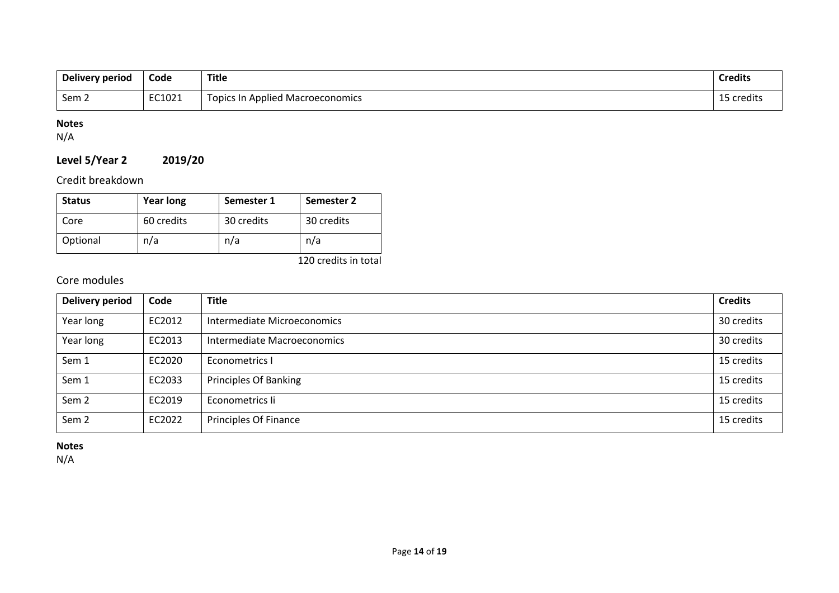| Delivery period | Code   | <b>Title</b>                            | <b>Credits</b> |
|-----------------|--------|-----------------------------------------|----------------|
| Sem ∠           | EC1021 | <b>Topics In Applied Macroeconomics</b> | 15 credits     |

## **Notes**

N/A

## **Level 5/Year 2 2019/20**

Credit breakdown

| <b>Status</b> | <b>Year long</b> | Semester 1 | Semester 2 |
|---------------|------------------|------------|------------|
| Core          | 60 credits       | 30 credits | 30 credits |
| Optional      | n/a              | n/a        | n/a        |

120 credits in total

## Core modules

| <b>Delivery period</b> | Code   | <b>Title</b>                 | <b>Credits</b> |
|------------------------|--------|------------------------------|----------------|
| Year long              | EC2012 | Intermediate Microeconomics  | 30 credits     |
| Year long              | EC2013 | Intermediate Macroeconomics  | 30 credits     |
| Sem 1                  | EC2020 | Econometrics I               | 15 credits     |
| Sem 1                  | EC2033 | <b>Principles Of Banking</b> | 15 credits     |
| Sem <sub>2</sub>       | EC2019 | Econometrics li              | 15 credits     |
| Sem <sub>2</sub>       | EC2022 | Principles Of Finance        | 15 credits     |

**Notes**

N/A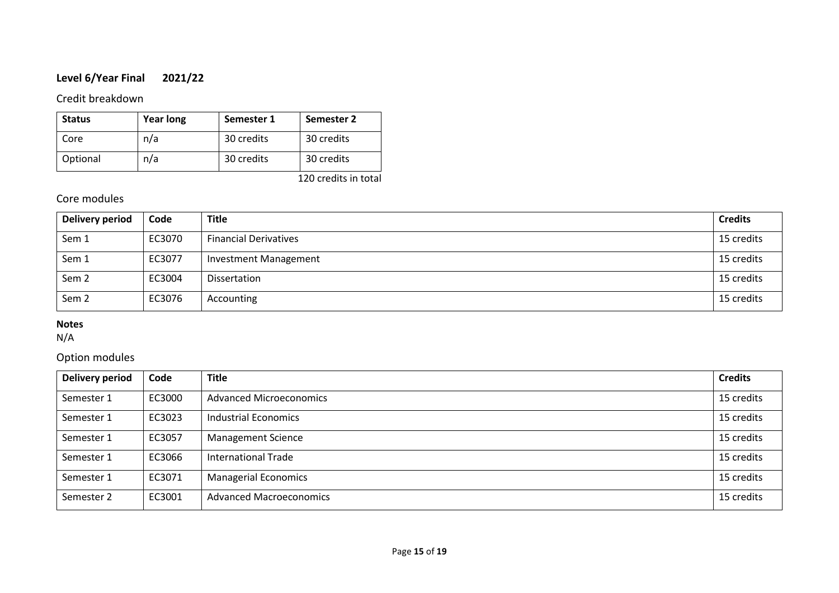## **Level 6/Year Final 2021/22**

## Credit breakdown

| <b>Status</b> | <b>Year long</b> | Semester 1 | Semester 2 |
|---------------|------------------|------------|------------|
| Core          | n/a              | 30 credits | 30 credits |
| Optional      | n/a              | 30 credits | 30 credits |

120 credits in total

## Core modules

| <b>Delivery period</b> | Code   | <b>Title</b>                 | <b>Credits</b> |
|------------------------|--------|------------------------------|----------------|
| Sem 1                  | EC3070 | <b>Financial Derivatives</b> | 15 credits     |
| Sem 1                  | EC3077 | <b>Investment Management</b> | 15 credits     |
| Sem <sub>2</sub>       | EC3004 | Dissertation                 | 15 credits     |
| Sem <sub>2</sub>       | EC3076 | Accounting                   | 15 credits     |

## **Notes**

N/A

## Option modules

| <b>Delivery period</b> | Code   | <b>Title</b>                   | <b>Credits</b> |
|------------------------|--------|--------------------------------|----------------|
| Semester 1             | EC3000 | <b>Advanced Microeconomics</b> | 15 credits     |
| Semester 1             | EC3023 | Industrial Economics           | 15 credits     |
| Semester 1             | EC3057 | <b>Management Science</b>      | 15 credits     |
| Semester 1             | EC3066 | <b>International Trade</b>     | 15 credits     |
| Semester 1             | EC3071 | <b>Managerial Economics</b>    | 15 credits     |
| Semester 2             | EC3001 | <b>Advanced Macroeconomics</b> | 15 credits     |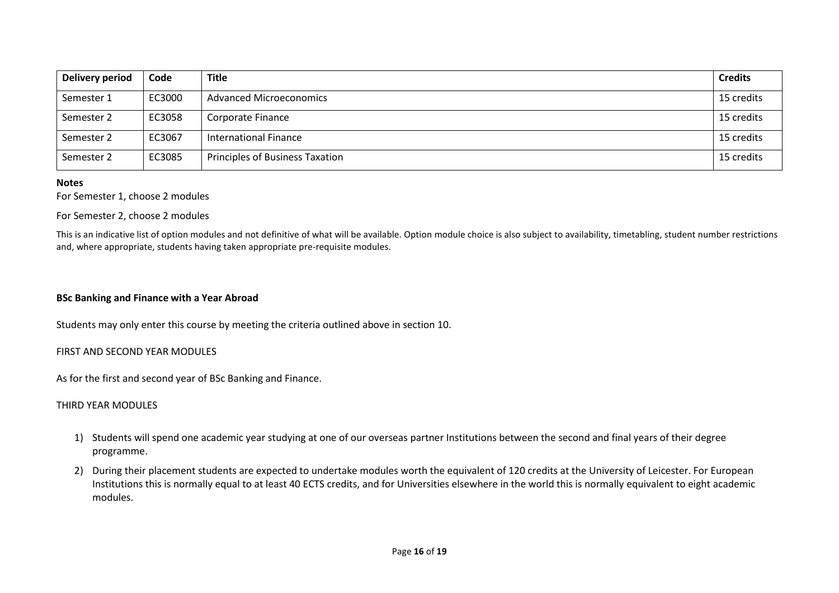| <b>Delivery period</b> | Code   | <b>Title</b>                    | <b>Credits</b> |
|------------------------|--------|---------------------------------|----------------|
| Semester 1             | EC3000 | <b>Advanced Microeconomics</b>  | 15 credits     |
| Semester 2             | EC3058 | Corporate Finance               | 15 credits     |
| Semester 2             | EC3067 | International Finance           | 15 credits     |
| Semester 2             | EC3085 | Principles of Business Taxation | 15 credits     |

#### **Notes**

### For Semester 1, choose 2 modules

#### For Semester 2, choose 2 modules

This is an indicative list of option modules and not definitive of what will be available. Option module choice is also subject to availability, timetabling, student number restrictions and, where appropriate, students having taken appropriate pre-requisite modules.

### **BSc Banking and Finance with a Year Abroad**

Students may only enter this course by meeting the criteria outlined above in section 10.

### FIRST AND SECOND YEAR MODULES

As for the first and second year of BSc Banking and Finance.

#### THIRD YEAR MODULES

- 1) Students will spend one academic year studying at one of our overseas partner Institutions between the second and final years of their degree programme.
- 2) During their placement students are expected to undertake modules worth the equivalent of 120 credits at the University of Leicester. For European Institutions this is normally equal to at least 40 ECTS credits, and for Universities elsewhere in the world this is normally equivalent to eight academic modules.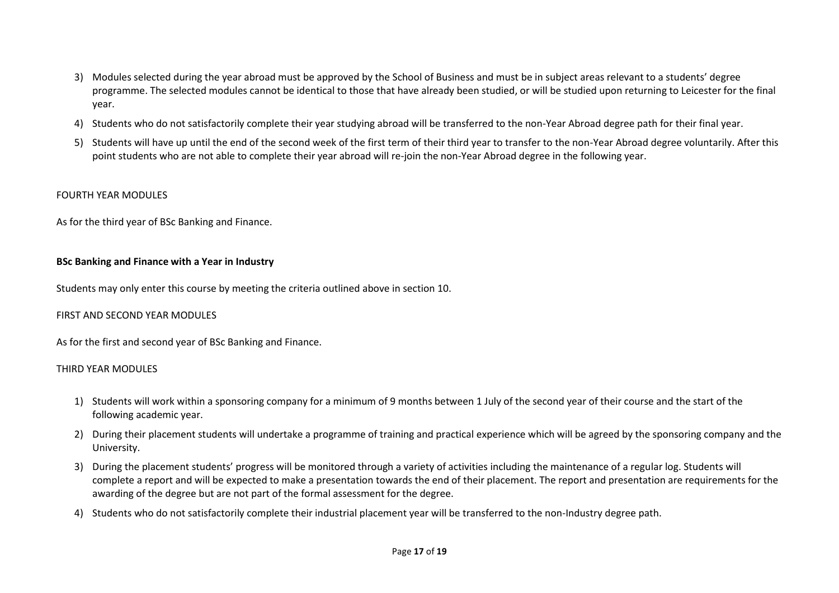- 3) Modules selected during the year abroad must be approved by the School of Business and must be in subject areas relevant to a students' degree programme. The selected modules cannot be identical to those that have already been studied, or will be studied upon returning to Leicester for the final year.
- 4) Students who do not satisfactorily complete their year studying abroad will be transferred to the non-Year Abroad degree path for their final year.
- 5) Students will have up until the end of the second week of the first term of their third year to transfer to the non-Year Abroad degree voluntarily. After this point students who are not able to complete their year abroad will re-join the non-Year Abroad degree in the following year.

### FOURTH YEAR MODULES

As for the third year of BSc Banking and Finance.

### **BSc Banking and Finance with a Year in Industry**

Students may only enter this course by meeting the criteria outlined above in section 10.

### FIRST AND SECOND YEAR MODULES

As for the first and second year of BSc Banking and Finance.

### THIRD YEAR MODULES

- 1) Students will work within a sponsoring company for a minimum of 9 months between 1 July of the second year of their course and the start of the following academic year.
- 2) During their placement students will undertake a programme of training and practical experience which will be agreed by the sponsoring company and the University.
- 3) During the placement students' progress will be monitored through a variety of activities including the maintenance of a regular log. Students will complete a report and will be expected to make a presentation towards the end of their placement. The report and presentation are requirements for the awarding of the degree but are not part of the formal assessment for the degree.
- 4) Students who do not satisfactorily complete their industrial placement year will be transferred to the non-Industry degree path.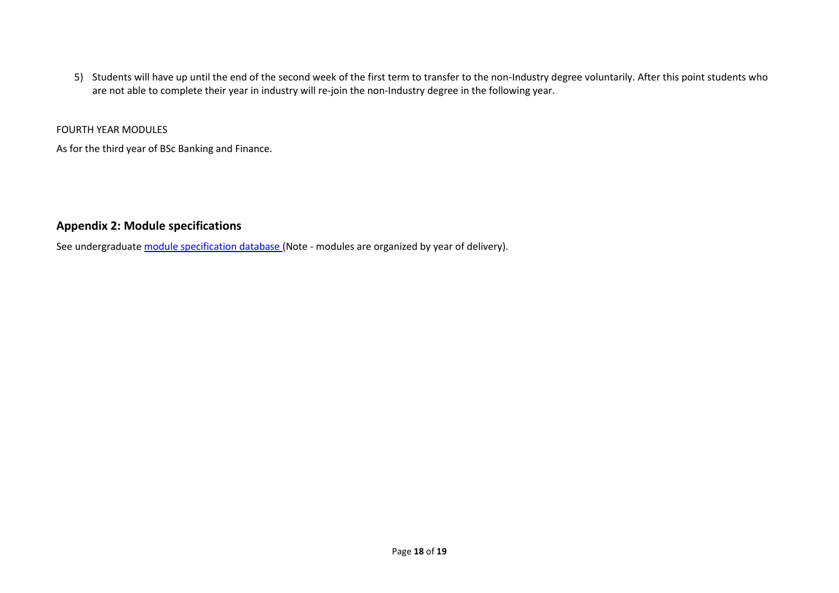5) Students will have up until the end of the second week of the first term to transfer to the non-Industry degree voluntarily. After this point students who are not able to complete their year in industry will re-join the non-Industry degree in the following year.

#### FOURTH YEAR MODULES

As for the third year of BSc Banking and Finance.

## **Appendix 2: Module specifications**

See undergraduat[e module specification database](http://www.le.ac.uk/sas/courses/documentation) (Note - modules are organized by year of delivery).